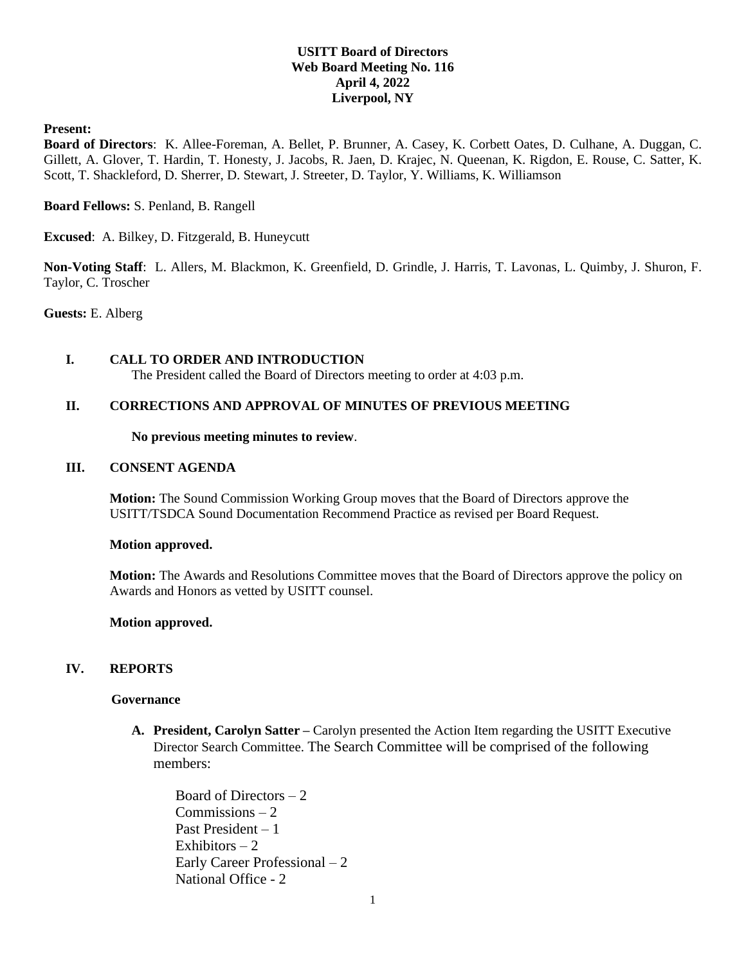# **USITT Board of Directors Web Board Meeting No. 116 April 4, 2022 Liverpool, NY**

### **Present:**

**Board of Directors**: K. Allee-Foreman, A. Bellet, P. Brunner, A. Casey, K. Corbett Oates, D. Culhane, A. Duggan, C. Gillett, A. Glover, T. Hardin, T. Honesty, J. Jacobs, R. Jaen, D. Krajec, N. Queenan, K. Rigdon, E. Rouse, C. Satter, K. Scott, T. Shackleford, D. Sherrer, D. Stewart, J. Streeter, D. Taylor, Y. Williams, K. Williamson

### **Board Fellows:** S. Penland, B. Rangell

**Excused**: A. Bilkey, D. Fitzgerald, B. Huneycutt

**Non-Voting Staff**: L. Allers, M. Blackmon, K. Greenfield, D. Grindle, J. Harris, T. Lavonas, L. Quimby, J. Shuron, F. Taylor, C. Troscher

**Guests:** E. Alberg

# **I. CALL TO ORDER AND INTRODUCTION**

The President called the Board of Directors meeting to order at 4:03 p.m.

### **II. CORRECTIONS AND APPROVAL OF MINUTES OF PREVIOUS MEETING**

#### **No previous meeting minutes to review**.

### **III. CONSENT AGENDA**

**Motion:** The Sound Commission Working Group moves that the Board of Directors approve the USITT/TSDCA Sound Documentation Recommend Practice as revised per Board Request.

#### **Motion approved.**

**Motion:** The Awards and Resolutions Committee moves that the Board of Directors approve the policy on Awards and Honors as vetted by USITT counsel.

#### **Motion approved.**

# **IV. REPORTS**

### **Governance**

**A. President, Carolyn Satter –** Carolyn presented the Action Item regarding the USITT Executive Director Search Committee. The Search Committee will be comprised of the following members:

Board of Directors – 2 Commissions – 2 Past President – 1 Exhibitors  $-2$ Early Career Professional – 2 National Office - 2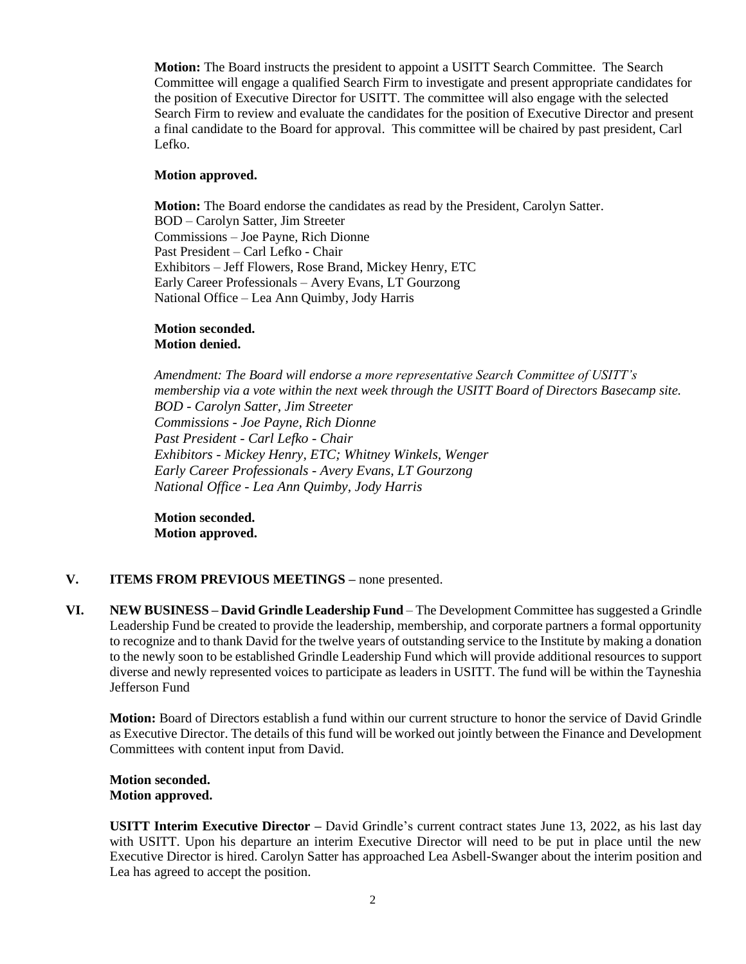**Motion:** The Board instructs the president to appoint a USITT Search Committee. The Search Committee will engage a qualified Search Firm to investigate and present appropriate candidates for the position of Executive Director for USITT. The committee will also engage with the selected Search Firm to review and evaluate the candidates for the position of Executive Director and present a final candidate to the Board for approval. This committee will be chaired by past president, Carl Lefko.

### **Motion approved.**

**Motion:** The Board endorse the candidates as read by the President, Carolyn Satter. BOD – Carolyn Satter, Jim Streeter Commissions – Joe Payne, Rich Dionne Past President – Carl Lefko - Chair Exhibitors – Jeff Flowers, Rose Brand, Mickey Henry, ETC Early Career Professionals – Avery Evans, LT Gourzong National Office – Lea Ann Quimby, Jody Harris

#### **Motion seconded. Motion denied.**

*Amendment: The Board will endorse a more representative Search Committee of USITT's membership via a vote within the next week through the USITT Board of Directors Basecamp site. BOD - Carolyn Satter, Jim Streeter Commissions - Joe Payne, Rich Dionne Past President - Carl Lefko - Chair Exhibitors - Mickey Henry, ETC; Whitney Winkels, Wenger Early Career Professionals - Avery Evans, LT Gourzong National Office - Lea Ann Quimby, Jody Harris*

**Motion seconded. Motion approved.**

# **V. ITEMS FROM PREVIOUS MEETINGS –** none presented.

**VI. NEW BUSINESS – David Grindle Leadership Fund** – The Development Committee has suggested a Grindle Leadership Fund be created to provide the leadership, membership, and corporate partners a formal opportunity to recognize and to thank David for the twelve years of outstanding service to the Institute by making a donation to the newly soon to be established Grindle Leadership Fund which will provide additional resources to support diverse and newly represented voices to participate as leaders in USITT. The fund will be within the Tayneshia Jefferson Fund

**Motion:** Board of Directors establish a fund within our current structure to honor the service of David Grindle as Executive Director. The details of this fund will be worked out jointly between the Finance and Development Committees with content input from David.

### **Motion seconded. Motion approved.**

**USITT Interim Executive Director –** David Grindle's current contract states June 13, 2022, as his last day with USITT. Upon his departure an interim Executive Director will need to be put in place until the new Executive Director is hired. Carolyn Satter has approached Lea Asbell-Swanger about the interim position and Lea has agreed to accept the position.